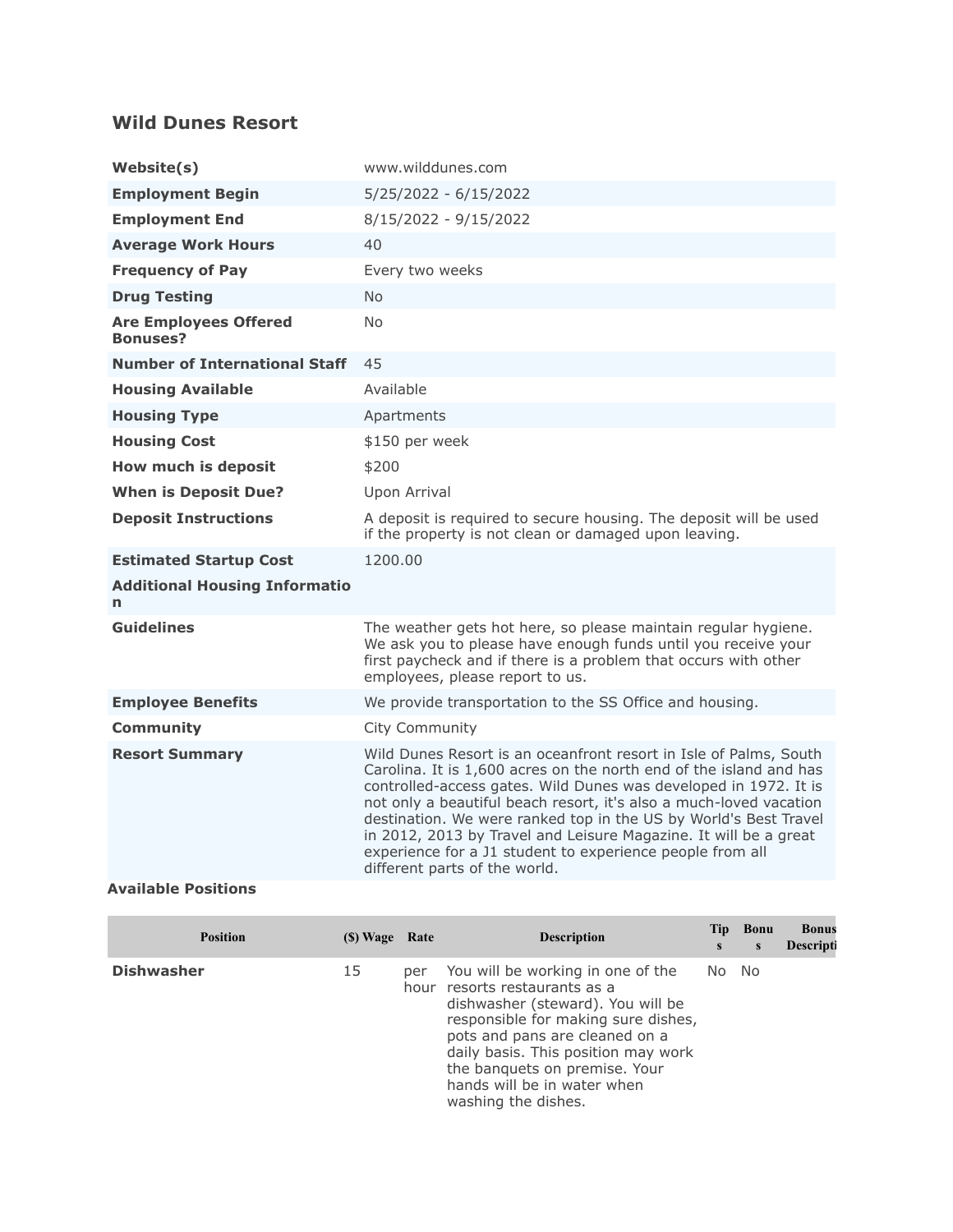## **Wild Dunes Resort**

| Website(s)                                      | www.wilddunes.com                                                                                                                                                                                                                                                                                                                                                                                                                                                                                                       |  |  |  |  |
|-------------------------------------------------|-------------------------------------------------------------------------------------------------------------------------------------------------------------------------------------------------------------------------------------------------------------------------------------------------------------------------------------------------------------------------------------------------------------------------------------------------------------------------------------------------------------------------|--|--|--|--|
| <b>Employment Begin</b>                         | 5/25/2022 - 6/15/2022                                                                                                                                                                                                                                                                                                                                                                                                                                                                                                   |  |  |  |  |
| <b>Employment End</b>                           | 8/15/2022 - 9/15/2022                                                                                                                                                                                                                                                                                                                                                                                                                                                                                                   |  |  |  |  |
| <b>Average Work Hours</b>                       | 40                                                                                                                                                                                                                                                                                                                                                                                                                                                                                                                      |  |  |  |  |
| <b>Frequency of Pay</b>                         | Every two weeks                                                                                                                                                                                                                                                                                                                                                                                                                                                                                                         |  |  |  |  |
| <b>Drug Testing</b>                             | <b>No</b>                                                                                                                                                                                                                                                                                                                                                                                                                                                                                                               |  |  |  |  |
| <b>Are Employees Offered</b><br><b>Bonuses?</b> | N <sub>o</sub>                                                                                                                                                                                                                                                                                                                                                                                                                                                                                                          |  |  |  |  |
| <b>Number of International Staff</b>            | 45                                                                                                                                                                                                                                                                                                                                                                                                                                                                                                                      |  |  |  |  |
| <b>Housing Available</b>                        | Available                                                                                                                                                                                                                                                                                                                                                                                                                                                                                                               |  |  |  |  |
| <b>Housing Type</b>                             | Apartments                                                                                                                                                                                                                                                                                                                                                                                                                                                                                                              |  |  |  |  |
| <b>Housing Cost</b>                             | \$150 per week                                                                                                                                                                                                                                                                                                                                                                                                                                                                                                          |  |  |  |  |
| How much is deposit                             | \$200                                                                                                                                                                                                                                                                                                                                                                                                                                                                                                                   |  |  |  |  |
| <b>When is Deposit Due?</b>                     | Upon Arrival                                                                                                                                                                                                                                                                                                                                                                                                                                                                                                            |  |  |  |  |
| <b>Deposit Instructions</b>                     | A deposit is required to secure housing. The deposit will be used<br>if the property is not clean or damaged upon leaving.                                                                                                                                                                                                                                                                                                                                                                                              |  |  |  |  |
| <b>Estimated Startup Cost</b>                   | 1200.00                                                                                                                                                                                                                                                                                                                                                                                                                                                                                                                 |  |  |  |  |
| <b>Additional Housing Informatio</b><br>n       |                                                                                                                                                                                                                                                                                                                                                                                                                                                                                                                         |  |  |  |  |
| <b>Guidelines</b>                               | The weather gets hot here, so please maintain regular hygiene.<br>We ask you to please have enough funds until you receive your<br>first paycheck and if there is a problem that occurs with other<br>employees, please report to us.                                                                                                                                                                                                                                                                                   |  |  |  |  |
| <b>Employee Benefits</b>                        | We provide transportation to the SS Office and housing.                                                                                                                                                                                                                                                                                                                                                                                                                                                                 |  |  |  |  |
| <b>Community</b>                                | City Community                                                                                                                                                                                                                                                                                                                                                                                                                                                                                                          |  |  |  |  |
| <b>Resort Summary</b>                           | Wild Dunes Resort is an oceanfront resort in Isle of Palms, South<br>Carolina. It is 1,600 acres on the north end of the island and has<br>controlled-access gates. Wild Dunes was developed in 1972. It is<br>not only a beautiful beach resort, it's also a much-loved vacation<br>destination. We were ranked top in the US by World's Best Travel<br>in 2012, 2013 by Travel and Leisure Magazine. It will be a great<br>experience for a J1 student to experience people from all<br>different parts of the world. |  |  |  |  |
| <b>Available Positions</b>                      |                                                                                                                                                                                                                                                                                                                                                                                                                                                                                                                         |  |  |  |  |

| <b>Position</b>   | (\$) Wage Rate |     | <b>Description</b>                                                                                                                                                                                                                                                                                             | Tip<br>S | <b>Bonu</b><br>S | <b>Bonus</b><br><b>Descripti</b> |
|-------------------|----------------|-----|----------------------------------------------------------------------------------------------------------------------------------------------------------------------------------------------------------------------------------------------------------------------------------------------------------------|----------|------------------|----------------------------------|
| <b>Dishwasher</b> | 15             | per | You will be working in one of the<br>hour resorts restaurants as a<br>dishwasher (steward). You will be<br>responsible for making sure dishes,<br>pots and pans are cleaned on a<br>daily basis. This position may work<br>the banquets on premise. Your<br>hands will be in water when<br>washing the dishes. | No.      | - No             |                                  |